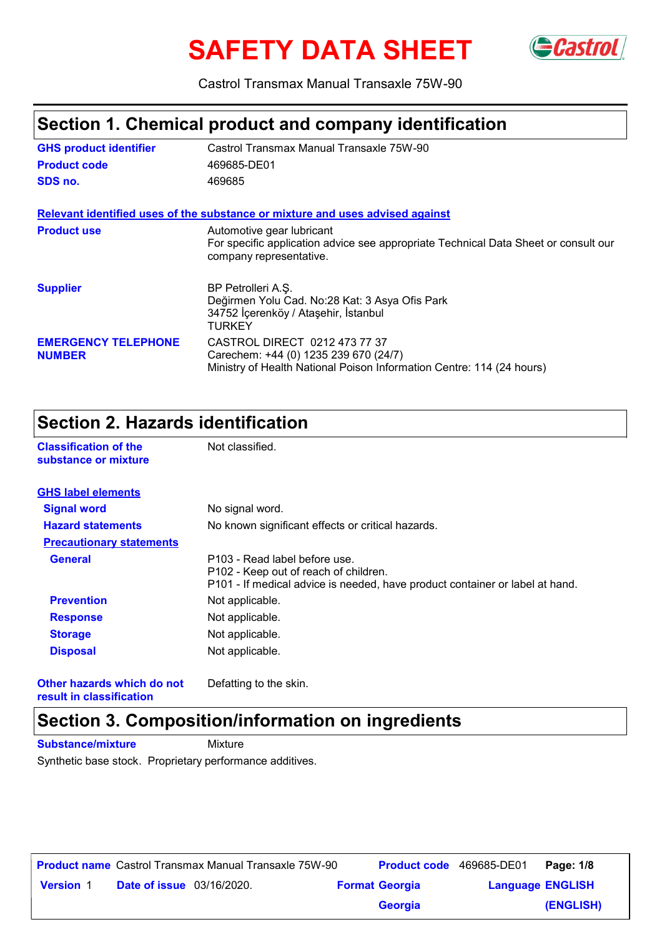# **SAFETY DATA SHEET**



Castrol Transmax Manual Transaxle 75W-90

#### **Section 1. Chemical product and company identification**

| <b>GHS product identifier</b>               | Castrol Transmax Manual Transaxle 75W-90                                                                                                        |
|---------------------------------------------|-------------------------------------------------------------------------------------------------------------------------------------------------|
| <b>Product code</b>                         | 469685-DE01                                                                                                                                     |
| SDS no.                                     | 469685                                                                                                                                          |
|                                             | Relevant identified uses of the substance or mixture and uses advised against                                                                   |
| <b>Product use</b>                          | Automotive gear lubricant<br>For specific application advice see appropriate Technical Data Sheet or consult our<br>company representative.     |
| <b>Supplier</b>                             | BP Petrolleri A.S.<br>Değirmen Yolu Cad. No:28 Kat: 3 Asya Ofis Park<br>34752 İçerenköy / Ataşehir, İstanbul<br>TURKEY                          |
| <b>EMERGENCY TELEPHONE</b><br><b>NUMBER</b> | CASTROL DIRECT 0212 473 77 37<br>Carechem: +44 (0) 1235 239 670 (24/7)<br>Ministry of Health National Poison Information Centre: 114 (24 hours) |

#### **Section 2. Hazards identification**

**Classification of the Mot classified.** 

| substance or mixture            |                                                                                                                                                        |
|---------------------------------|--------------------------------------------------------------------------------------------------------------------------------------------------------|
| <b>GHS label elements</b>       |                                                                                                                                                        |
| <b>Signal word</b>              | No signal word.                                                                                                                                        |
| <b>Hazard statements</b>        | No known significant effects or critical hazards.                                                                                                      |
| <b>Precautionary statements</b> |                                                                                                                                                        |
| <b>General</b>                  | P103 - Read label before use.<br>P102 - Keep out of reach of children.<br>P101 - If medical advice is needed, have product container or label at hand. |
| <b>Prevention</b>               | Not applicable.                                                                                                                                        |
| <b>Response</b>                 | Not applicable.                                                                                                                                        |
| <b>Storage</b>                  | Not applicable.                                                                                                                                        |
| <b>Disposal</b>                 | Not applicable.                                                                                                                                        |
|                                 |                                                                                                                                                        |

**Other hazards which do not result in classification**

Defatting to the skin.

#### **Section 3. Composition/information on ingredients**

**Substance/mixture Mixture** 

Synthetic base stock. Proprietary performance additives.

|                  |                                  | <b>Product name</b> Castrol Transmax Manual Transaxle 75W-90 | <b>Product code</b> 469685-DE01 |                         | Page: 1/8 |
|------------------|----------------------------------|--------------------------------------------------------------|---------------------------------|-------------------------|-----------|
| <b>Version 1</b> | <b>Date of issue</b> 03/16/2020. |                                                              | <b>Format Georgia</b>           | <b>Language ENGLISH</b> |           |
|                  |                                  |                                                              | <b>Georgia</b>                  |                         | (ENGLISH) |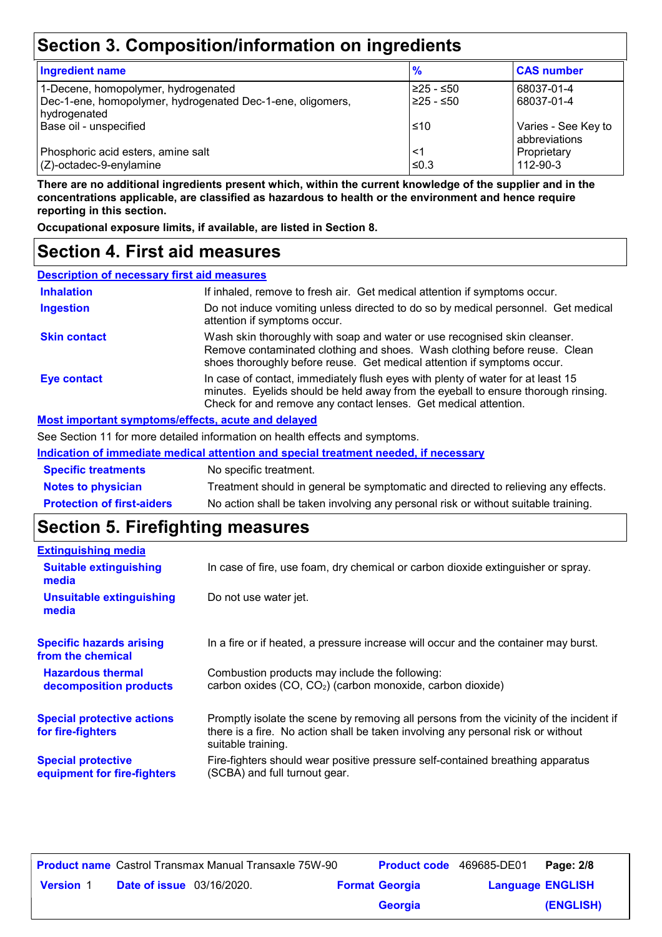### **Section 3. Composition/information on ingredients**

| <b>Ingredient name</b>                                                     | %          | <b>CAS number</b>                    |
|----------------------------------------------------------------------------|------------|--------------------------------------|
| 1-Decene, homopolymer, hydrogenated                                        | 225 - ≤50  | 68037-01-4                           |
| Dec-1-ene, homopolymer, hydrogenated Dec-1-ene, oligomers,<br>hydrogenated | 225 - ≤50  | 68037-01-4                           |
| Base oil - unspecified                                                     | ≤10        | Varies - See Key to<br>abbreviations |
| Phosphoric acid esters, amine salt<br>$(Z)$ -octadec-9-enylamine           | <1<br>≤0.3 | Proprietary<br>112-90-3              |

**There are no additional ingredients present which, within the current knowledge of the supplier and in the concentrations applicable, are classified as hazardous to health or the environment and hence require reporting in this section.**

**Occupational exposure limits, if available, are listed in Section 8.**

#### **Section 4. First aid measures**

| <b>Description of necessary first aid measures</b> |                                                                                                                                                                                                                                         |
|----------------------------------------------------|-----------------------------------------------------------------------------------------------------------------------------------------------------------------------------------------------------------------------------------------|
| <b>Inhalation</b>                                  | If inhaled, remove to fresh air. Get medical attention if symptoms occur.                                                                                                                                                               |
| <b>Ingestion</b>                                   | Do not induce vomiting unless directed to do so by medical personnel. Get medical<br>attention if symptoms occur.                                                                                                                       |
| <b>Skin contact</b>                                | Wash skin thoroughly with soap and water or use recognised skin cleanser.<br>Remove contaminated clothing and shoes. Wash clothing before reuse. Clean<br>shoes thoroughly before reuse. Get medical attention if symptoms occur.       |
| <b>Eye contact</b>                                 | In case of contact, immediately flush eyes with plenty of water for at least 15<br>minutes. Eyelids should be held away from the eyeball to ensure thorough rinsing.<br>Check for and remove any contact lenses. Get medical attention. |
| Most important symptoms/effects, acute and delayed |                                                                                                                                                                                                                                         |

See Section 11 for more detailed information on health effects and symptoms.

| Indication of immediate medical attention and special treatment needed, if necessary |                                                                                    |  |  |  |
|--------------------------------------------------------------------------------------|------------------------------------------------------------------------------------|--|--|--|
| <b>Specific treatments</b>                                                           | No specific treatment.                                                             |  |  |  |
| <b>Notes to physician</b>                                                            | Treatment should in general be symptomatic and directed to relieving any effects.  |  |  |  |
| <b>Protection of first-aiders</b>                                                    | No action shall be taken involving any personal risk or without suitable training. |  |  |  |

### **Section 5. Firefighting measures**

| <b>Extinguishing media</b>                               |                                                                                                                                                                                                   |
|----------------------------------------------------------|---------------------------------------------------------------------------------------------------------------------------------------------------------------------------------------------------|
| <b>Suitable extinguishing</b><br>media                   | In case of fire, use foam, dry chemical or carbon dioxide extinguisher or spray.                                                                                                                  |
| <b>Unsuitable extinguishing</b><br>media                 | Do not use water jet.                                                                                                                                                                             |
| <b>Specific hazards arising</b><br>from the chemical     | In a fire or if heated, a pressure increase will occur and the container may burst.                                                                                                               |
| <b>Hazardous thermal</b><br>decomposition products       | Combustion products may include the following:<br>carbon oxides (CO, CO <sub>2</sub> ) (carbon monoxide, carbon dioxide)                                                                          |
| <b>Special protective actions</b><br>for fire-fighters   | Promptly isolate the scene by removing all persons from the vicinity of the incident if<br>there is a fire. No action shall be taken involving any personal risk or without<br>suitable training. |
| <b>Special protective</b><br>equipment for fire-fighters | Fire-fighters should wear positive pressure self-contained breathing apparatus<br>(SCBA) and full turnout gear.                                                                                   |

|                  |                                  | <b>Product name</b> Castrol Transmax Manual Transaxle 75W-90 | <b>Product code</b> 469685-DE01 |                         | Page: 2/8 |
|------------------|----------------------------------|--------------------------------------------------------------|---------------------------------|-------------------------|-----------|
| <b>Version 1</b> | <b>Date of issue</b> 03/16/2020. |                                                              | <b>Format Georgia</b>           | <b>Language ENGLISH</b> |           |
|                  |                                  |                                                              | Georgia                         |                         | (ENGLISH) |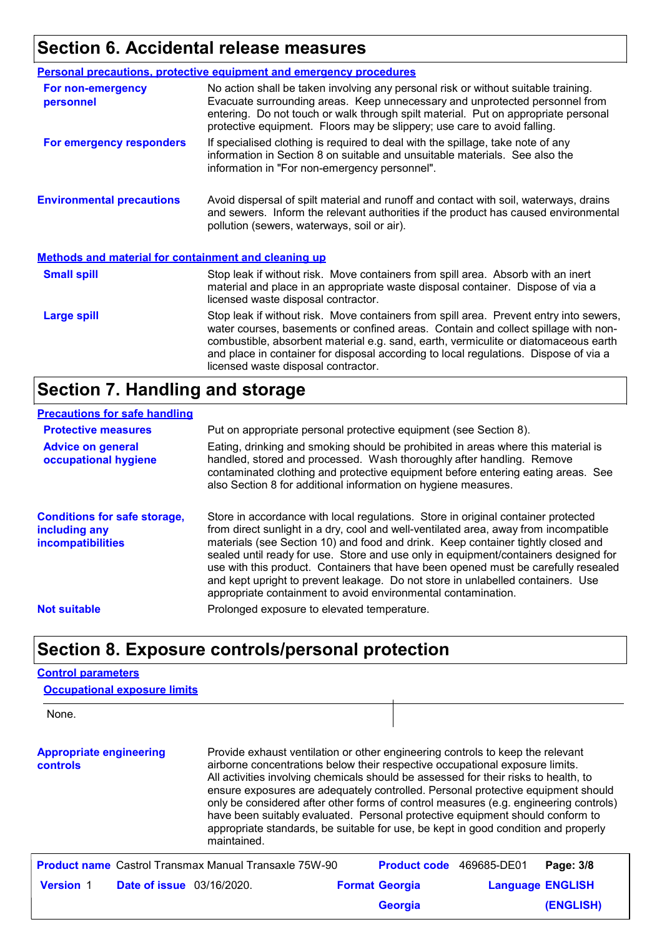# **Section 6. Accidental release measures**

|                                                             | <b>Personal precautions, protective equipment and emergency procedures</b>                                                                                                                                                                                                                                                                                                                         |
|-------------------------------------------------------------|----------------------------------------------------------------------------------------------------------------------------------------------------------------------------------------------------------------------------------------------------------------------------------------------------------------------------------------------------------------------------------------------------|
| For non-emergency<br>personnel                              | No action shall be taken involving any personal risk or without suitable training.<br>Evacuate surrounding areas. Keep unnecessary and unprotected personnel from<br>entering. Do not touch or walk through spilt material. Put on appropriate personal<br>protective equipment. Floors may be slippery; use care to avoid falling.                                                                |
| For emergency responders                                    | If specialised clothing is required to deal with the spillage, take note of any<br>information in Section 8 on suitable and unsuitable materials. See also the<br>information in "For non-emergency personnel".                                                                                                                                                                                    |
| <b>Environmental precautions</b>                            | Avoid dispersal of spilt material and runoff and contact with soil, waterways, drains<br>and sewers. Inform the relevant authorities if the product has caused environmental<br>pollution (sewers, waterways, soil or air).                                                                                                                                                                        |
| <b>Methods and material for containment and cleaning up</b> |                                                                                                                                                                                                                                                                                                                                                                                                    |
| <b>Small spill</b>                                          | Stop leak if without risk. Move containers from spill area. Absorb with an inert<br>material and place in an appropriate waste disposal container. Dispose of via a<br>licensed waste disposal contractor.                                                                                                                                                                                         |
| <b>Large spill</b>                                          | Stop leak if without risk. Move containers from spill area. Prevent entry into sewers,<br>water courses, basements or confined areas. Contain and collect spillage with non-<br>combustible, absorbent material e.g. sand, earth, vermiculite or diatomaceous earth<br>and place in container for disposal according to local regulations. Dispose of via a<br>licensed waste disposal contractor. |

### **Section 7. Handling and storage**

#### **Precautions for safe handling**

| <b>Protective measures</b>                                                       | Put on appropriate personal protective equipment (see Section 8).                                                                                                                                                                                                                                                                                                                                                                                                                                                                                                                              |
|----------------------------------------------------------------------------------|------------------------------------------------------------------------------------------------------------------------------------------------------------------------------------------------------------------------------------------------------------------------------------------------------------------------------------------------------------------------------------------------------------------------------------------------------------------------------------------------------------------------------------------------------------------------------------------------|
| <b>Advice on general</b><br>occupational hygiene                                 | Eating, drinking and smoking should be prohibited in areas where this material is<br>handled, stored and processed. Wash thoroughly after handling. Remove<br>contaminated clothing and protective equipment before entering eating areas. See<br>also Section 8 for additional information on hygiene measures.                                                                                                                                                                                                                                                                               |
| <b>Conditions for safe storage,</b><br>including any<br><b>incompatibilities</b> | Store in accordance with local regulations. Store in original container protected<br>from direct sunlight in a dry, cool and well-ventilated area, away from incompatible<br>materials (see Section 10) and food and drink. Keep container tightly closed and<br>sealed until ready for use. Store and use only in equipment/containers designed for<br>use with this product. Containers that have been opened must be carefully resealed<br>and kept upright to prevent leakage. Do not store in unlabelled containers. Use<br>appropriate containment to avoid environmental contamination. |
| <b>Not suitable</b>                                                              | Prolonged exposure to elevated temperature.                                                                                                                                                                                                                                                                                                                                                                                                                                                                                                                                                    |

#### **Section 8. Exposure controls/personal protection**

#### **Control parameters Occupational exposure limits**

| None.                                      |                                 |                                                                                                                                                                                                                                                                                                                                                                                                                                                                                                                                                                                                                         |                       |             |                         |
|--------------------------------------------|---------------------------------|-------------------------------------------------------------------------------------------------------------------------------------------------------------------------------------------------------------------------------------------------------------------------------------------------------------------------------------------------------------------------------------------------------------------------------------------------------------------------------------------------------------------------------------------------------------------------------------------------------------------------|-----------------------|-------------|-------------------------|
| <b>Appropriate engineering</b><br>controls |                                 | Provide exhaust ventilation or other engineering controls to keep the relevant<br>airborne concentrations below their respective occupational exposure limits.<br>All activities involving chemicals should be assessed for their risks to health, to<br>ensure exposures are adequately controlled. Personal protective equipment should<br>only be considered after other forms of control measures (e.g. engineering controls)<br>have been suitably evaluated. Personal protective equipment should conform to<br>appropriate standards, be suitable for use, be kept in good condition and properly<br>maintained. |                       |             |                         |
|                                            |                                 | <b>Product name</b> Castrol Transmax Manual Transaxle 75W-90                                                                                                                                                                                                                                                                                                                                                                                                                                                                                                                                                            | <b>Product code</b>   | 469685-DE01 | Page: 3/8               |
| <b>Version 1</b>                           | <b>Date of issue</b> 03/16/2020 |                                                                                                                                                                                                                                                                                                                                                                                                                                                                                                                                                                                                                         | <b>Format Georgia</b> |             | <b>Language ENGLISH</b> |
|                                            |                                 |                                                                                                                                                                                                                                                                                                                                                                                                                                                                                                                                                                                                                         | Georgia               |             | <b>(ENGLISH)</b>        |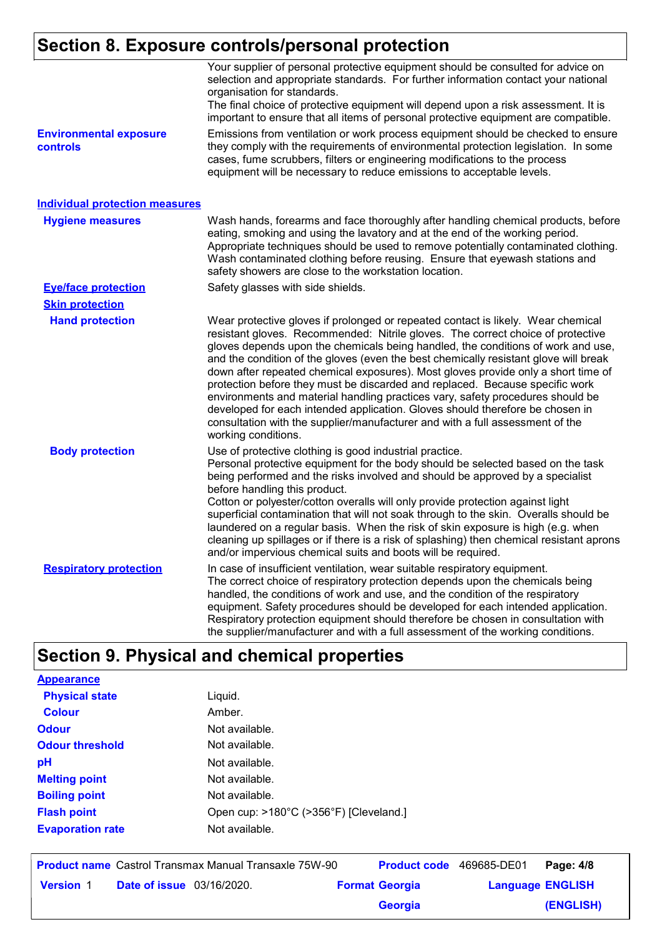# **Section 8. Exposure controls/personal protection**

|                                           | Your supplier of personal protective equipment should be consulted for advice on<br>selection and appropriate standards. For further information contact your national<br>organisation for standards.<br>The final choice of protective equipment will depend upon a risk assessment. It is<br>important to ensure that all items of personal protective equipment are compatible.                                                                                                                                                                                                                                                                                                                                                                                                              |
|-------------------------------------------|-------------------------------------------------------------------------------------------------------------------------------------------------------------------------------------------------------------------------------------------------------------------------------------------------------------------------------------------------------------------------------------------------------------------------------------------------------------------------------------------------------------------------------------------------------------------------------------------------------------------------------------------------------------------------------------------------------------------------------------------------------------------------------------------------|
| <b>Environmental exposure</b><br>controls | Emissions from ventilation or work process equipment should be checked to ensure<br>they comply with the requirements of environmental protection legislation. In some<br>cases, fume scrubbers, filters or engineering modifications to the process<br>equipment will be necessary to reduce emissions to acceptable levels.                                                                                                                                                                                                                                                                                                                                                                                                                                                                   |
| <b>Individual protection measures</b>     |                                                                                                                                                                                                                                                                                                                                                                                                                                                                                                                                                                                                                                                                                                                                                                                                 |
| <b>Hygiene measures</b>                   | Wash hands, forearms and face thoroughly after handling chemical products, before<br>eating, smoking and using the lavatory and at the end of the working period.<br>Appropriate techniques should be used to remove potentially contaminated clothing.<br>Wash contaminated clothing before reusing. Ensure that eyewash stations and<br>safety showers are close to the workstation location.                                                                                                                                                                                                                                                                                                                                                                                                 |
| <b>Eye/face protection</b>                | Safety glasses with side shields.                                                                                                                                                                                                                                                                                                                                                                                                                                                                                                                                                                                                                                                                                                                                                               |
| <b>Skin protection</b>                    |                                                                                                                                                                                                                                                                                                                                                                                                                                                                                                                                                                                                                                                                                                                                                                                                 |
| <b>Hand protection</b>                    | Wear protective gloves if prolonged or repeated contact is likely. Wear chemical<br>resistant gloves. Recommended: Nitrile gloves. The correct choice of protective<br>gloves depends upon the chemicals being handled, the conditions of work and use,<br>and the condition of the gloves (even the best chemically resistant glove will break<br>down after repeated chemical exposures). Most gloves provide only a short time of<br>protection before they must be discarded and replaced. Because specific work<br>environments and material handling practices vary, safety procedures should be<br>developed for each intended application. Gloves should therefore be chosen in<br>consultation with the supplier/manufacturer and with a full assessment of the<br>working conditions. |
| <b>Body protection</b>                    | Use of protective clothing is good industrial practice.<br>Personal protective equipment for the body should be selected based on the task<br>being performed and the risks involved and should be approved by a specialist<br>before handling this product.<br>Cotton or polyester/cotton overalls will only provide protection against light<br>superficial contamination that will not soak through to the skin. Overalls should be<br>laundered on a regular basis. When the risk of skin exposure is high (e.g. when<br>cleaning up spillages or if there is a risk of splashing) then chemical resistant aprons<br>and/or impervious chemical suits and boots will be required.                                                                                                           |
| <b>Respiratory protection</b>             | In case of insufficient ventilation, wear suitable respiratory equipment.<br>The correct choice of respiratory protection depends upon the chemicals being<br>handled, the conditions of work and use, and the condition of the respiratory<br>equipment. Safety procedures should be developed for each intended application.<br>Respiratory protection equipment should therefore be chosen in consultation with<br>the supplier/manufacturer and with a full assessment of the working conditions.                                                                                                                                                                                                                                                                                           |

# **Section 9. Physical and chemical properties**

| <b>Appearance</b>       |                                        |
|-------------------------|----------------------------------------|
| <b>Physical state</b>   | Liquid.                                |
| <b>Colour</b>           | Amber.                                 |
| <b>Odour</b>            | Not available.                         |
| <b>Odour threshold</b>  | Not available.                         |
| рH                      | Not available.                         |
| <b>Melting point</b>    | Not available.                         |
| <b>Boiling point</b>    | Not available.                         |
| <b>Flash point</b>      | Open cup: >180°C (>356°F) [Cleveland.] |
| <b>Evaporation rate</b> | Not available.                         |
|                         |                                        |

|                  |                                  | <b>Product name</b> Castrol Transmax Manual Transaxle 75W-90 | <b>Product code</b> 469685-DE01 |                         | Page: 4/8 |
|------------------|----------------------------------|--------------------------------------------------------------|---------------------------------|-------------------------|-----------|
| <b>Version 1</b> | <b>Date of issue</b> 03/16/2020. |                                                              | <b>Format Georgia</b>           | <b>Language ENGLISH</b> |           |
|                  |                                  |                                                              | <b>Georgia</b>                  |                         | (ENGLISH) |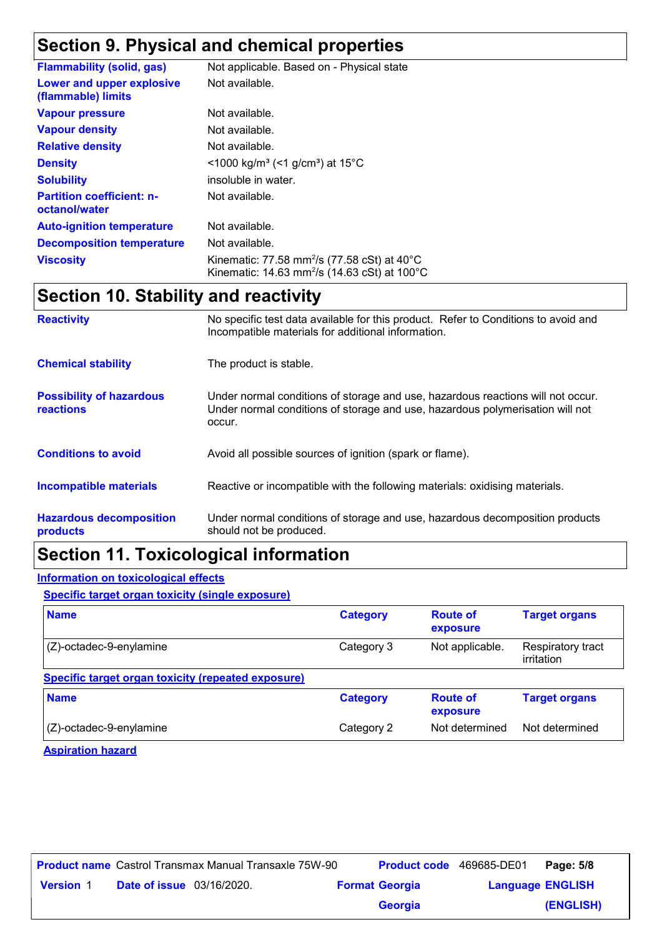# **Section 9. Physical and chemical properties**

| <b>Flammability (solid, gas)</b>                  | Not applicable. Based on - Physical state                                                                                                |
|---------------------------------------------------|------------------------------------------------------------------------------------------------------------------------------------------|
| Lower and upper explosive<br>(flammable) limits   | Not available.                                                                                                                           |
| <b>Vapour pressure</b>                            | Not available.                                                                                                                           |
| <b>Vapour density</b>                             | Not available.                                                                                                                           |
| <b>Relative density</b>                           | Not available.                                                                                                                           |
| <b>Density</b>                                    | $\leq$ 1000 kg/m <sup>3</sup> (<1 g/cm <sup>3</sup> ) at 15 <sup>°</sup> C                                                               |
| <b>Solubility</b>                                 | insoluble in water.                                                                                                                      |
| <b>Partition coefficient: n-</b><br>octanol/water | Not available.                                                                                                                           |
| <b>Auto-ignition temperature</b>                  | Not available.                                                                                                                           |
| <b>Decomposition temperature</b>                  | Not available.                                                                                                                           |
| <b>Viscosity</b>                                  | Kinematic: 77.58 mm <sup>2</sup> /s (77.58 cSt) at $40^{\circ}$ C<br>Kinematic: 14.63 mm <sup>2</sup> /s (14.63 cSt) at 100 $^{\circ}$ C |

### **Section 10. Stability and reactivity**

| <b>Reactivity</b>                            | No specific test data available for this product. Refer to Conditions to avoid and<br>Incompatible materials for additional information.                                   |
|----------------------------------------------|----------------------------------------------------------------------------------------------------------------------------------------------------------------------------|
| <b>Chemical stability</b>                    | The product is stable.                                                                                                                                                     |
| <b>Possibility of hazardous</b><br>reactions | Under normal conditions of storage and use, hazardous reactions will not occur.<br>Under normal conditions of storage and use, hazardous polymerisation will not<br>occur. |
| <b>Conditions to avoid</b>                   | Avoid all possible sources of ignition (spark or flame).                                                                                                                   |
| <b>Incompatible materials</b>                | Reactive or incompatible with the following materials: oxidising materials.                                                                                                |
| <b>Hazardous decomposition</b><br>products   | Under normal conditions of storage and use, hazardous decomposition products<br>should not be produced.                                                                    |

### **Section 11. Toxicological information**

#### **Information on toxicological effects**

**Specific target organ toxicity (single exposure)**

| <b>Name</b>                                        | <b>Category</b> | <b>Route of</b><br>exposure | <b>Target organs</b>            |
|----------------------------------------------------|-----------------|-----------------------------|---------------------------------|
| $(Z)$ -octadec-9-enylamine                         | Category 3      | Not applicable.             | Respiratory tract<br>irritation |
| Specific target organ toxicity (repeated exposure) |                 |                             |                                 |
| <b>Name</b>                                        | <b>Category</b> | <b>Route of</b><br>exposure | <b>Target organs</b>            |
| $(Z)$ -octadec-9-enylamine                         | Category 2      | Not determined              | Not determined                  |

**Aspiration hazard**

|                  |                                  | <b>Product name</b> Castrol Transmax Manual Transaxle 75W-90 | Product code 469685-DE01 |                         | Page: 5/8 |
|------------------|----------------------------------|--------------------------------------------------------------|--------------------------|-------------------------|-----------|
| <b>Version 1</b> | <b>Date of issue</b> 03/16/2020. |                                                              | <b>Format Georgia</b>    | <b>Language ENGLISH</b> |           |
|                  |                                  |                                                              | Georgia                  |                         | (ENGLISH) |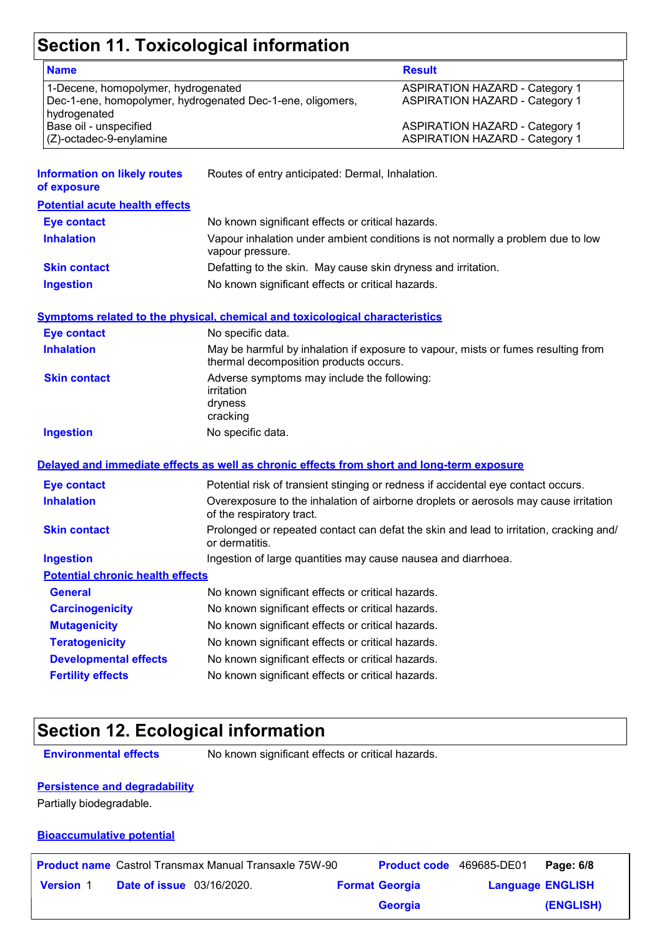# **Section 11. Toxicological information**

| <b>Name</b>                                                                                                       |                                                                                                     | <b>Result</b>                                                                          |
|-------------------------------------------------------------------------------------------------------------------|-----------------------------------------------------------------------------------------------------|----------------------------------------------------------------------------------------|
| 1-Decene, homopolymer, hydrogenated<br>Dec-1-ene, homopolymer, hydrogenated Dec-1-ene, oligomers,<br>hydrogenated |                                                                                                     | <b>ASPIRATION HAZARD - Category 1</b><br><b>ASPIRATION HAZARD - Category 1</b>         |
| Base oil - unspecified<br>(Z)-octadec-9-enylamine                                                                 |                                                                                                     | <b>ASPIRATION HAZARD - Category 1</b><br><b>ASPIRATION HAZARD - Category 1</b>         |
| <b>Information on likely routes</b><br>of exposure                                                                | Routes of entry anticipated: Dermal, Inhalation.                                                    |                                                                                        |
| <b>Potential acute health effects</b>                                                                             |                                                                                                     |                                                                                        |
| <b>Eye contact</b>                                                                                                | No known significant effects or critical hazards.                                                   |                                                                                        |
| <b>Inhalation</b>                                                                                                 | Vapour inhalation under ambient conditions is not normally a problem due to low<br>vapour pressure. |                                                                                        |
| <b>Skin contact</b>                                                                                               | Defatting to the skin. May cause skin dryness and irritation.                                       |                                                                                        |
| <b>Ingestion</b>                                                                                                  | No known significant effects or critical hazards.                                                   |                                                                                        |
|                                                                                                                   | <b>Symptoms related to the physical, chemical and toxicological characteristics</b>                 |                                                                                        |
| <b>Eye contact</b>                                                                                                | No specific data.                                                                                   |                                                                                        |
| <b>Inhalation</b>                                                                                                 | thermal decomposition products occurs.                                                              | May be harmful by inhalation if exposure to vapour, mists or fumes resulting from      |
| <b>Skin contact</b>                                                                                               | Adverse symptoms may include the following:<br>irritation<br>dryness<br>cracking                    |                                                                                        |
| <b>Ingestion</b>                                                                                                  | No specific data.                                                                                   |                                                                                        |
|                                                                                                                   | Delayed and immediate effects as well as chronic effects from short and long-term exposure          |                                                                                        |
| <b>Eye contact</b>                                                                                                |                                                                                                     | Potential risk of transient stinging or redness if accidental eye contact occurs.      |
| <b>Inhalation</b>                                                                                                 | of the respiratory tract.                                                                           | Overexposure to the inhalation of airborne droplets or aerosols may cause irritation   |
| <b>Skin contact</b>                                                                                               | or dermatitis.                                                                                      | Prolonged or repeated contact can defat the skin and lead to irritation, cracking and/ |
| <b>Ingestion</b>                                                                                                  | Ingestion of large quantities may cause nausea and diarrhoea.                                       |                                                                                        |
| <b>Potential chronic health effects</b>                                                                           |                                                                                                     |                                                                                        |
| <b>General</b>                                                                                                    | No known significant effects or critical hazards.                                                   |                                                                                        |
| <b>Carcinogenicity</b>                                                                                            | No known significant effects or critical hazards.                                                   |                                                                                        |
| <b>Mutagenicity</b>                                                                                               | No known significant effects or critical hazards.                                                   |                                                                                        |
| <b>Teratogenicity</b>                                                                                             | No known significant effects or critical hazards.                                                   |                                                                                        |
| <b>Developmental effects</b>                                                                                      | No known significant effects or critical hazards.                                                   |                                                                                        |
| <b>Fertility effects</b>                                                                                          | No known significant effects or critical hazards.                                                   |                                                                                        |

### **Section 12. Ecological information**

**Environmental effects** No known significant effects or critical hazards.

#### **Persistence and degradability**

Partially biodegradable.

#### **Bioaccumulative potential**

|                  |                                  | <b>Product name</b> Castrol Transmax Manual Transaxle 75W-90 | <b>Product code</b> 469685-DE01 |                         | Page: 6/8 |
|------------------|----------------------------------|--------------------------------------------------------------|---------------------------------|-------------------------|-----------|
| <b>Version 1</b> | <b>Date of issue</b> 03/16/2020. |                                                              | <b>Format Georgia</b>           | <b>Language ENGLISH</b> |           |
|                  |                                  |                                                              | <b>Georgia</b>                  |                         | (ENGLISH) |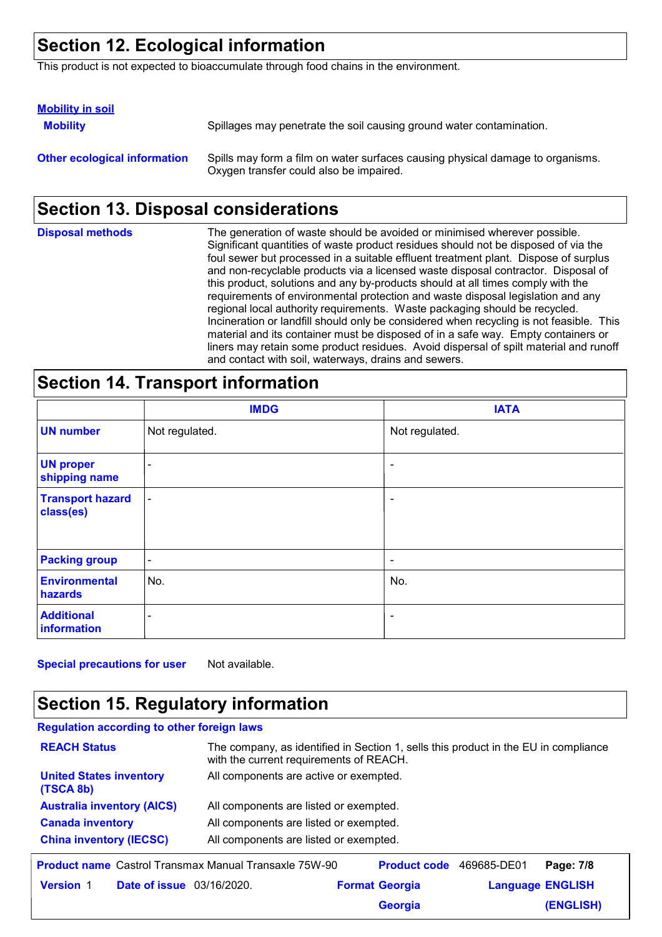### **Section 12. Ecological information**

This product is not expected to bioaccumulate through food chains in the environment.

| <b>Mobility in soil</b>             |                                                                                                                           |
|-------------------------------------|---------------------------------------------------------------------------------------------------------------------------|
| <b>Mobility</b>                     | Spillages may penetrate the soil causing ground water contamination.                                                      |
| <b>Other ecological information</b> | Spills may form a film on water surfaces causing physical damage to organisms.<br>Oxygen transfer could also be impaired. |

### **Section 13. Disposal considerations**

| <b>Disposal methods</b> | The generation of waste should be avoided or minimised wherever possible.<br>Significant quantities of waste product residues should not be disposed of via the<br>foul sewer but processed in a suitable effluent treatment plant. Dispose of surplus<br>and non-recyclable products via a licensed waste disposal contractor. Disposal of<br>this product, solutions and any by-products should at all times comply with the<br>requirements of environmental protection and waste disposal legislation and any<br>regional local authority requirements. Waste packaging should be recycled.<br>Incineration or landfill should only be considered when recycling is not feasible. This<br>material and its container must be disposed of in a safe way. Empty containers or<br>liners may retain some product residues. Avoid dispersal of spilt material and runoff |
|-------------------------|--------------------------------------------------------------------------------------------------------------------------------------------------------------------------------------------------------------------------------------------------------------------------------------------------------------------------------------------------------------------------------------------------------------------------------------------------------------------------------------------------------------------------------------------------------------------------------------------------------------------------------------------------------------------------------------------------------------------------------------------------------------------------------------------------------------------------------------------------------------------------|
|                         | and contact with soil, waterways, drains and sewers.                                                                                                                                                                                                                                                                                                                                                                                                                                                                                                                                                                                                                                                                                                                                                                                                                     |

#### **Section 14. Transport information**

|                                      | <b>IMDG</b>              | <b>IATA</b>              |
|--------------------------------------|--------------------------|--------------------------|
| <b>UN number</b>                     | Not regulated.           | Not regulated.           |
| <b>UN proper</b><br>shipping name    | $\overline{\phantom{a}}$ | $\overline{\phantom{a}}$ |
| <b>Transport hazard</b><br>class(es) | $\overline{\phantom{a}}$ | $\overline{\phantom{a}}$ |
| <b>Packing group</b>                 | $\overline{\phantom{a}}$ | $\overline{\phantom{a}}$ |
| <b>Environmental</b><br>hazards      | No.                      | No.                      |
| <b>Additional</b><br>information     | $\overline{\phantom{a}}$ | $\overline{\phantom{a}}$ |

**Special precautions for user** Not available.

### **Section 15. Regulatory information**

| <b>Regulation according to other foreign laws</b>            |                                                                                                                                |  |
|--------------------------------------------------------------|--------------------------------------------------------------------------------------------------------------------------------|--|
| <b>REACH Status</b>                                          | The company, as identified in Section 1, sells this product in the EU in compliance<br>with the current requirements of REACH. |  |
| <b>United States inventory</b><br>(TSCA 8b)                  | All components are active or exempted.                                                                                         |  |
| <b>Australia inventory (AICS)</b>                            | All components are listed or exempted.                                                                                         |  |
| <b>Canada inventory</b>                                      | All components are listed or exempted.                                                                                         |  |
| <b>China inventory (IECSC)</b>                               | All components are listed or exempted.                                                                                         |  |
| <b>Product name</b> Castrol Transmax Manual Transaxle 75W-90 | <b>Product code</b><br>469685-DE01<br>Page: 7/8                                                                                |  |
| <b>Version 1</b><br><b>Date of issue</b> 03/16/2020.         | <b>Format Georgia</b><br><b>Language ENGLISH</b>                                                                               |  |

**Georgia**

**(ENGLISH)**